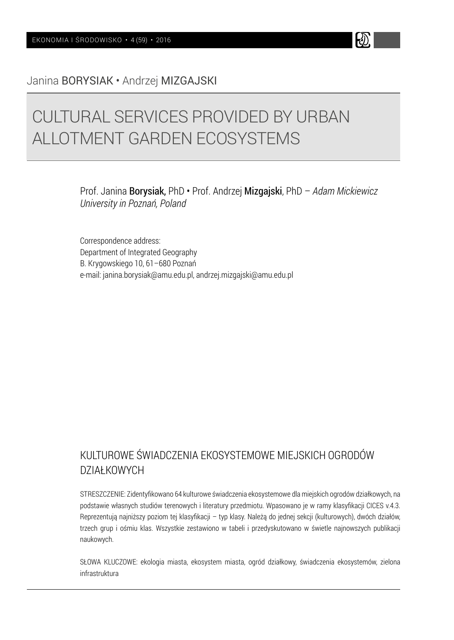Janina BORYSIAK • Andrzej MIZGAJSKI

# CULTURAL SERVICES PROVIDED BY URBAN ALLOTMENT GARDEN ECOSYSTEMS

Prof. Janina Borysiak, PhD • Prof. Andrzej Mizgajski, PhD – *Adam Mickiewicz University in Poznań, Poland*

W

Correspondence address: Department of Integrated Geography B. Krygowskiego 10, 61–680 Poznań e-mail: janina.borysiak@amu.edu.pl, andrzej.mizgajski@amu.edu.pl

# KULTUROWE ŚWIADCZENIA EKOSYSTEMOWE MIEJSKICH OGRODÓW DZIAŁKOWYCH

STRESZCZENIE: Zidentyfikowano 64 kulturowe świadczenia ekosystemowe dla miejskich ogrodów działkowych, na podstawie własnych studiów terenowych i literatury przedmiotu. Wpasowano je w ramy klasyfikacji CICES v.4.3. Reprezentują najniższy poziom tej klasyfikacji – typ klasy. Należą do jednej sekcji (kulturowych), dwóch działów, trzech grup i ośmiu klas. Wszystkie zestawiono w tabeli i przedyskutowano w świetle najnowszych publikacji naukowych.

SŁOWA KLUCZOWE: ekologia miasta, ekosystem miasta, ogród działkowy, świadczenia ekosystemów, zielona infrastruktura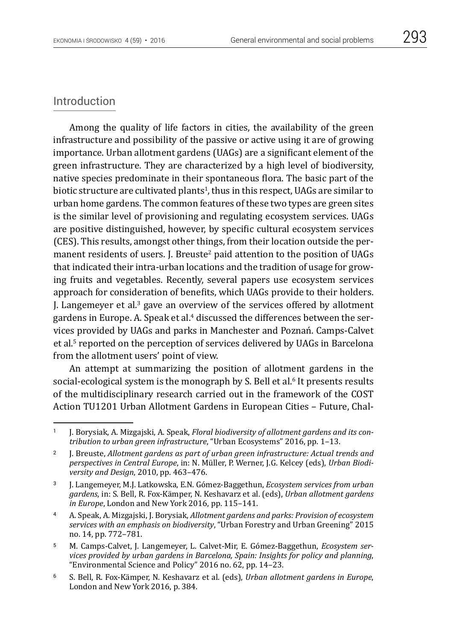# Introduction

Among the quality of life factors in cities, the availability of the green infrastructure and possibility of the passive or active using it are of growing importance. Urban allotment gardens (UAGs) are a significant element of the green infrastructure. They are characterized by a high level of biodiversity, native species predominate in their spontaneous flora. The basic part of the biotic structure are cultivated plants<sup>1</sup>, thus in this respect, UAGs are similar to urban home gardens. The common features of these two types are green sites is the similar level of provisioning and regulating ecosystem services. UAGs are positive distinguished, however, by specific cultural ecosystem services (CES). This results, amongst other things, from their location outside the permanent residents of users. J. Breuste<sup>2</sup> paid attention to the position of UAGs that indicated their intra-urban locations and the tradition of usage for growing fruits and vegetables. Recently, several papers use ecosystem services approach for consideration of benefits, which UAGs provide to their holders. I. Langemever et al. $3$  gave an overview of the services offered by allotment gardens in Europe. A. Speak et al.<sup>4</sup> discussed the differences between the services provided by UAGs and parks in Manchester and Poznań. Camps-Calvet et al.5 reported on the perception of services delivered by UAGs in Barcelona from the allotment users' point of view.

An attempt at summarizing the position of allotment gardens in the social-ecological system is the monograph by S. Bell et al.<sup>6</sup> It presents results of the multidisciplinary research carried out in the framework of the COST Action TU1201 Urban Allotment Gardens in European Cities – Future, Chal-

<sup>1 [</sup>J. Borysiak, A. Mizgajski, A. Speak, *Floral biodiversity of allotment gardens and its contribution to urban green infrastructure*, "Urban Ecosystems" 2016, pp. 1–13.

<sup>2</sup> J. Breuste, *Allotment gardens as part of urban green infrastructure: Actual trends and perspectives in Central Europe*, in: N. Müller, P. Werner, J.G. Kelcey (eds), *Urban Biodiversity and Design*, 2010, pp. 463–476.

<sup>3</sup> J. Langemeyer, M.J. Latkowska, E.N. Gómez-Baggethun, *Ecosystem services from urban gardens*, in: S. Bell, R. Fox-Kämper, N. Keshavarz et al. (eds), *Urban allotment gardens in Europe*, London and New York 2016, pp. 115–141.

<sup>4</sup> A. Speak, A. Mizgajski, J. Borysiak, *Allotment gardens and parks: Provision of ecosystem services with an emphasis on biodiversity*, "Urban Forestry and Urban Greening" 2015 no. 14, pp. 772–781.

<sup>5</sup> M. Camps-Calvet, J. Langemeyer, L. Calvet-Mir, E. Gómez-Baggethun, *Ecosystem services provided by urban gardens in Barcelona, Spain: Insights for policy and planning*, "Environmental Science and Policy" 2016 no. 62, pp. 14–23.

<sup>6</sup> S. Bell, R. Fox-Kämper, N. Keshavarz et al. (eds), *Urban allotment gardens in Europe*, London and New York 2016, p. 384.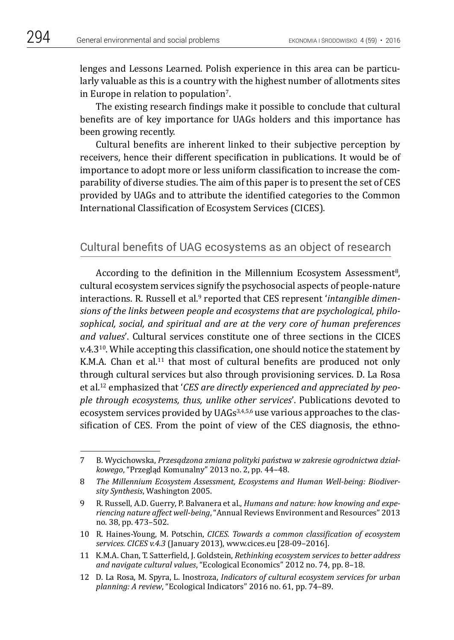lenges and Lessons Learned. Polish experience in this area can be particularly valuable as this is a country with the highest number of allotments sites in Europe in relation to population<sup>7</sup>.

The existing research findings make it possible to conclude that cultural benefits are of key importance for UAGs holders and this importance has been growing recently.

Cultural benefits are inherent linked to their subjective perception by receivers, hence their different specification in publications. It would be of importance to adopt more or less uniform classification to increase the comparability of diverse studies. The aim of this paper is to present the set of CES provided by UAGs and to attribute the identified categories to the Common International Classification of Ecosystem Services (CICES).

# Cultural benefits of UAG ecosystems as an object of research

According to the definition in the Millennium Ecosystem Assessment<sup>8</sup>, cultural ecosystem services signify the psychosocial aspects of people-nature interactions. R. Russell et al.<sup>9</sup> reported that CES represent *'intangible dimensions of the links between people and ecosystems that are psychological, philosophical, social, and spiritual and are at the very core of human preferences and values*'. Cultural services constitute one of three sections in the CICES  $v.4.3^{10}$ . While accepting this classification, one should notice the statement by K.M.A. Chan et al.<sup>11</sup> that most of cultural benefits are produced not only through cultural services but also through provisioning services. D. La Rosa et al.12 emphasized that '*CES are directly experienced and appreciated by people through ecosystems, thus, unlike other services*'. Publications devoted to ecosystem services provided by UAGs<sup>3,4,5,6</sup> use various approaches to the classification of CES. From the point of view of the CES diagnosis, the ethno-

<sup>7</sup> B. Wycichowska, *Przesądzona zmiana polityki państwa w zakresie ogrodnictwa działkowego*, "Przegląd Komunalny" 2013 no. 2, pp. 44–48.

<sup>8</sup> *The Millennium Ecosystem Assessment, Ecosystems and Human Well-being: Biodiversity Synthesis*, Washington 2005.

<sup>9</sup> R. Russell, A.D. Guerry, P. Balvanera et al., *Humans and nature: how knowing and experiencing nature affect well-being*, "Annual Reviews Environment and Resources" 2013 no. 38, pp. 473–502.

<sup>10</sup> R. Haines-Young, M. Potschin, *CICES. Towards a common classification of ecosystem services. CICES v.4.3* (January 2013), www.cices.eu [28-09–2016].

<sup>11</sup> K.M.A. Chan, T. Satterfield, J. Goldstein, *Rethinking ecosystem services to better address and navigate cultural values*, "Ecological Economics" 2012 no. 74, pp. 8–18.

<sup>12</sup> D. La Rosa, M. Spyra, L. Inostroza, *Indicators of cultural ecosystem services for urban planning: A review*, "Ecological Indicators" 2016 no. 61, pp. 74–89.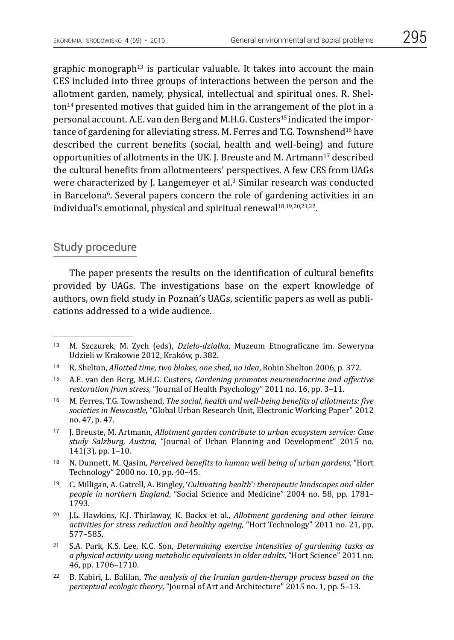graphic monograph<sup>13</sup> is particular valuable. It takes into account the main CES included into three groups of interactions between the person and the allotment garden, namely, physical, intellectual and spiritual ones. R. Shelton14 presented motives that guided him in the arrangement of the plot in a personal account. A.E. van den Berg and M.H.G. Custers15 indicated the importance of gardening for alleviating stress. M. Ferres and T.G. Townshend16 have described the current benefits (social, health and well-being) and future opportunities of allotments in the UK. J. Breuste and M. Artmann<sup>17</sup> described the cultural benefits from allotmenteers' perspectives. A few CES from UAGs were characterized by J. Langemeyer et al.<sup>3</sup> Similar research was conducted in Barcelona<sup>6</sup>. Several papers concern the role of gardening activities in an individual's emotional, physical and spiritual renewal<sup>18,19,20,21,22</sup>.

# Study procedure

The paper presents the results on the identification of cultural benefits provided by UAGs. The investigations base on the expert knowledge of authors, own field study in Poznań's UAGs, scientific papers as well as publications addressed to a wide audience.

- <sup>18</sup> N. Dunnett, M. Qasim, *Perceived benefits to human well being of urban gardens*, "Hort Technology" 2000 no. 10, pp. 40–45.
- <sup>19</sup> C. Milligan, A. Gatrell, A. Bingley, '*Cultivating health*'*: therapeutic landscapes and older people in northern England*, "Social Science and Medicine" 2004 no. 58, pp. 1781– 1793.
- <sup>20</sup> J.L. Hawkins, K.J. Thirlaway, K. Backx et al., *Allotment gardening and other leisure activities for stress reduction and healthy ageing*, "Hort Technology" 2011 no. 21, pp. 577–585.
- <sup>21</sup> S.A. Park, K.S. Lee, K.C. Son, *Determining exercise intensities of gardening tasks as a physical activity using metabolic equivalents in older adults*, "Hort Science" 2011 no. 46, pp. 1706–1710.
- <sup>22</sup> B. Kabiri, L. Balilan, *The analysis of the Iranian garden-therapy process based on the perceptual ecologic theory*, "Journal of Art and Architecture" 2015 no. 1, pp. 5–13.

<sup>13</sup> M. Szczurek, M. Zych (eds), *Dzieło-działka*, Muzeum Etnograficzne im. Seweryna Udzieli w Krakowie 2012, Kraków, p. 382.

<sup>14</sup> R. Shelton, *Allotted time, two blokes, one shed, no idea*, Robin Shelton 2006, p. 372.

<sup>15</sup> A.E. van den Berg, M.H.G. Custers, *Gardening promotes neuroendocrine and affective restoration from stress*, "Journal of Health Psychology" 2011 no. 16, pp. 3–11.

<sup>16</sup> M. Ferres, T.G. Townshend, *The social, health and well-being benefits of allotments: five societies in Newcastle*, "Global Urban Research Unit, Electronic Working Paper" 2012 no. 47, p. 47.

<sup>17</sup> J. Breuste, M. Artmann, *Allotment garden contribute to urban ecosystem service: Case study Salzburg, Austria*, "Journal of Urban Planning and Development" 2015 no. 141(3), pp. 1–10.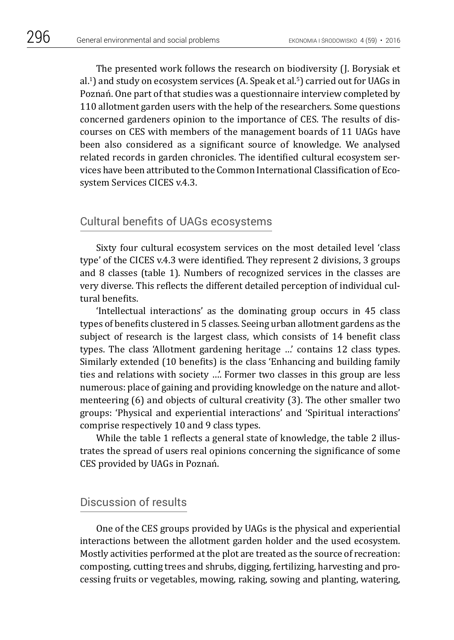The presented work follows the research on biodiversity (J. Borysiak et al.<sup>1</sup>) and study on ecosystem services (A. Speak et al.<sup>5</sup>) carried out for UAGs in Poznań. One part of that studies was a questionnaire interview completed by 110 allotment garden users with the help of the researchers. Some questions concerned gardeners opinion to the importance of CES. The results of discourses on CES with members of the management boards of 11 UAGs have been also considered as a significant source of knowledge. We analysed related records in garden chronicles. The identified cultural ecosystem services have been attributed to the Common International Classification of Ecosystem Services CICES v.4.3.

# Cultural benefits of UAGs ecosystems

Sixty four cultural ecosystem services on the most detailed level 'class type' of the CICES v.4.3 were identified. They represent 2 divisions, 3 groups and 8 classes (table 1). Numbers of recognized services in the classes are very diverse. This reflects the different detailed perception of individual cultural benefits.

'Intellectual interactions' as the dominating group occurs in 45 class types of benefits clustered in 5 classes. Seeing urban allotment gardens as the subject of research is the largest class, which consists of 14 benefit class types. The class 'Allotment gardening heritage …' contains 12 class types. Similarly extended (10 benefits) is the class 'Enhancing and building family ties and relations with society …'. Former two classes in this group are less numerous: place of gaining and providing knowledge on the nature and allotmenteering (6) and objects of cultural creativity (3). The other smaller two groups: 'Physical and experiential interactions' and 'Spiritual interactions' comprise respectively 10 and 9 class types.

While the table 1 reflects a general state of knowledge, the table 2 illustrates the spread of users real opinions concerning the significance of some CES provided by UAGs in Poznań.

# Discussion of results

One of the CES groups provided by UAGs is the physical and experiential interactions between the allotment garden holder and the used ecosystem. Mostly activities performed at the plot are treated as the source of recreation: composting, cutting trees and shrubs, digging, fertilizing, harvesting and processing fruits or vegetables, mowing, raking, sowing and planting, watering,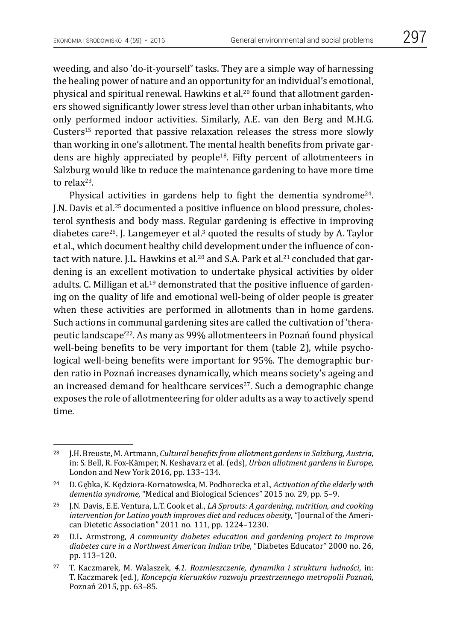weeding, and also 'do-it-yourself' tasks. They are a simple way of harnessing the healing power of nature and an opportunity for an individual's emotional, physical and spiritual renewal. Hawkins et al.20 found that allotment gardeners showed significantly lower stress level than other urban inhabitants, who only performed indoor activities. Similarly, A.E. van den Berg and M.H.G. Custers15 reported that passive relaxation releases the stress more slowly than working in one's allotment. The mental health benefits from private gardens are highly appreciated by people<sup>18</sup>. Fifty percent of allotmenteers in Salzburg would like to reduce the maintenance gardening to have more time to relax<sup>23</sup>.

Physical activities in gardens help to fight the dementia syndrome<sup>24</sup>. J.N. Davis et al.25 documented a positive influence on blood pressure, cholesterol synthesis and body mass. Regular gardening is effective in improving diabetes care<sup>26</sup>. J. Langemeyer et al.<sup>3</sup> quoted the results of study by A. Taylor et al., which document healthy child development under the influence of contact with nature. J.L. Hawkins et al.<sup>20</sup> and S.A. Park et al.<sup>21</sup> concluded that gardening is an excellent motivation to undertake physical activities by older adults. C. Milligan et al.<sup>19</sup> demonstrated that the positive influence of gardening on the quality of life and emotional well-being of older people is greater when these activities are performed in allotments than in home gardens. Such actions in communal gardening sites are called the cultivation of 'therapeutic landscape'<sup>22</sup>. As many as 99% allotmenteers in Poznań found physical well-being benefits to be very important for them (table 2), while psychological well-being benefits were important for 95%. The demographic burden ratio in Poznań increases dynamically, which means society's ageing and an increased demand for healthcare services $27$ . Such a demographic change exposes the role of allotmenteering for older adults as a way to actively spend time.

<sup>23</sup> J.H. Breuste, M. Artmann, *Cultural benefits from allotment gardens in Salzburg, Austria*, in: S. Bell, R. Fox-Kämper, N. Keshavarz et al. (eds), *Urban allotment gardens in Europe*, London and New York 2016, pp. 133–134.

<sup>24</sup> D. Gębka, K. Kędziora-Kornatowska, M. Podhorecka et al., *Activation of the elderly with dementia syndrome,* "Medical and Biological Sciences" 2015 no. 29, pp. 5–9.

<sup>25</sup> J.N. Davis, E.E. Ventura, L.T. Cook et al., *LA Sprouts: A gardening, nutrition, and cooking intervention for Latino youth improves diet and reduces obesity*, "Journal of the American Dietetic Association" 2011 no. 111, pp. 1224–1230.

<sup>26</sup> D.L. Armstrong, *A community diabetes education and gardening project to improve diabetes care in a Northwest American Indian tribe*, "Diabetes Educator" 2000 no. 26, pp. 113–120.

<sup>27</sup> T. Kaczmarek, M. Walaszek, *4.1. Rozmieszczenie, dynamika i struktura ludności*, in: T. Kaczmarek (ed.), *Koncepcja kierunków rozwoju przestrzennego metropolii Poznań*, Poznań 2015, pp. 63–85.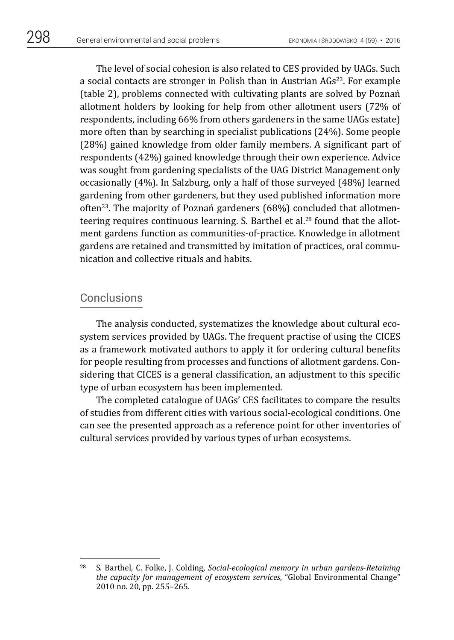The level of social cohesion is also related to CES provided by UAGs. Such a social contacts are stronger in Polish than in Austrian AGs<sup>23</sup>. For example (table 2), problems connected with cultivating plants are solved by Poznań allotment holders by looking for help from other allotment users (72% of respondents, including 66% from others gardeners in the same UAGs estate) more often than by searching in specialist publications (24%). Some people (28%) gained knowledge from older family members. A significant part of respondents (42%) gained knowledge through their own experience. Advice was sought from gardening specialists of the UAG District Management only occasionally (4%). In Salzburg, only a half of those surveyed (48%) learned gardening from other gardeners, but they used published information more often<sup>23</sup>. The majority of Poznań gardeners  $(68%)$  concluded that allotmenteering requires continuous learning. S. Barthel et al.<sup>28</sup> found that the allotment gardens function as communities-of-practice. Knowledge in allotment gardens are retained and transmitted by imitation of practices, oral communication and collective rituals and habits.

#### **Conclusions**

The analysis conducted, systematizes the knowledge about cultural ecosystem services provided by UAGs. The frequent practise of using the CICES as a framework motivated authors to apply it for ordering cultural benefits for people resulting from processes and functions of allotment gardens. Considering that CICES is a general classification, an adjustment to this specific type of urban ecosystem has been implemented.

The completed catalogue of UAGs' CES facilitates to compare the results of studies from different cities with various social-ecological conditions. One can see the presented approach as a reference point for other inventories of cultural services provided by various types of urban ecosystems.

<sup>28</sup> S. Barthel, C. Folke, J. Colding, *Social-ecological memory in urban gardens*-*Retaining the capacity for management of ecosystem services*, "Global Environmental Change" 2010 no. 20, pp. 255–265.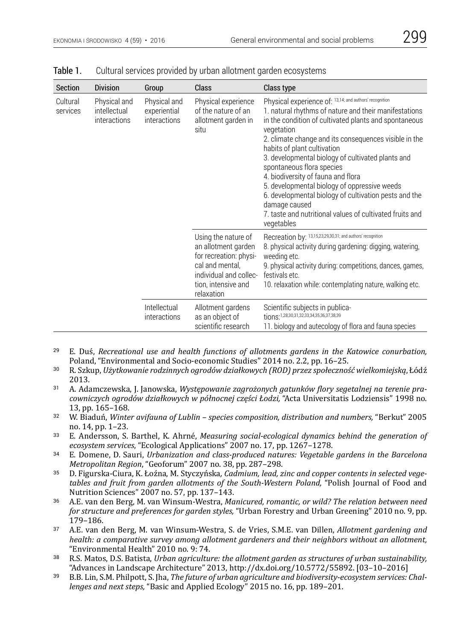| ×<br>۰, | I |
|---------|---|

| <b>Section</b>       | <b>Division</b>                                                                                             | Group                               | Class                                                                                                                                                  | Class type                                                                                                                                                                                                                                                                                                                                                                                                                                                                                                                                                                                                  |
|----------------------|-------------------------------------------------------------------------------------------------------------|-------------------------------------|--------------------------------------------------------------------------------------------------------------------------------------------------------|-------------------------------------------------------------------------------------------------------------------------------------------------------------------------------------------------------------------------------------------------------------------------------------------------------------------------------------------------------------------------------------------------------------------------------------------------------------------------------------------------------------------------------------------------------------------------------------------------------------|
| Cultural<br>services | Physical and<br>Physical and<br>intellectual<br>experiential<br><i>interactions</i><br>interactions<br>situ |                                     | Physical experience<br>of the nature of an<br>allotment garden in                                                                                      | Physical experience of: 13,14; and authors' recognition<br>1. natural rhythms of nature and their manifestations<br>in the condition of cultivated plants and spontaneous<br>vegetation<br>2. climate change and its consequences visible in the<br>habits of plant cultivation<br>3. developmental biology of cultivated plants and<br>spontaneous flora species<br>4. biodiversity of fauna and flora<br>5. developmental biology of oppressive weeds<br>6. developmental biology of cultivation pests and the<br>damage caused<br>7. taste and nutritional values of cultivated fruits and<br>vegetables |
|                      |                                                                                                             |                                     | Using the nature of<br>an allotment garden<br>for recreation: physi-<br>cal and mental,<br>individual and collec-<br>tion, intensive and<br>relaxation | Recreation by: 13,15,23,29,30,31; and authors' recognition<br>8. physical activity during gardening: digging, watering,<br>weeding etc.<br>9. physical activity during: competitions, dances, games,<br>festivals etc.<br>10. relaxation while: contemplating nature, walking etc.                                                                                                                                                                                                                                                                                                                          |
|                      |                                                                                                             | Intellectual<br><i>interactions</i> | Allotment gardens<br>as an object of<br>scientific research                                                                                            | Scientific subjects in publica-<br>tions:1,28,30,31,32,33,34,35,36,37,38,39<br>11. biology and autecology of flora and fauna species                                                                                                                                                                                                                                                                                                                                                                                                                                                                        |

| Table 1. |  |  |  |  |  |  | Cultural services provided by urban allotment garden ecosystems |
|----------|--|--|--|--|--|--|-----------------------------------------------------------------|
|----------|--|--|--|--|--|--|-----------------------------------------------------------------|

- <sup>29</sup> E. Duś, *Recreational use and health functions of allotments gardens in the Katowice conurbation,*
- <sup>30</sup> R. Szkup, Użytkowanie rodzinnych ogrodów działkowych (ROD) przez społeczność wielkomiejską, Łódź.<br>2013.
- 2013. <sup>31</sup> A. Adamczewska, J. Janowska, *Występowanie zagrożonych gatunków flory segetalnej na terenie pracowniczych ogrodów działkowych w północnej części Łodzi,* "Acta Universitatis Lodziensis" 1998 no.
- <sup>32</sup> W. Biaduń, *Winter avifauna of Lublin species composition, distribution and numbers, "Berkut" 2005*<br>no. 14. pp. 1–23.
- <sup>33</sup> E. Andersson, S. Barthel, K. Ahrné, *Measuring social-ecological dynamics behind the generation of <i>ecosystem services*, "Ecological Applications" 2007 no. 17, pp. 1267–1278.
- <sup>34</sup> E. Domene, D. Sauri, *Urbanization and class-produced natures: Vegetable gardens in the Barcelona Metropolitan Region*, "Geoforum" 2007 no. 38, pp. 287–298.
- *Metropolitan Region*, "Geoforum" 2007 no. 38, pp. 287–298. <sup>35</sup> D. Figurska-Ciura, K. Łoźna, M. Styczyńska*, Cadmium, lead, zinc and copper contents in selected vegetables and fruit from garden allotments of the South-Western Poland,* "Polish Journal of Food and
- 36 A.E. van den Berg, M. van Winsum-Westra, *Manicured, romantic, or wild? The relation between need for structure and preferences for garden styles,* "Urban Forestry and Urban Greening" 2010 no. 9, pp.
- 179–186. <sup>37</sup> A.E. van den Berg, M. van Winsum-Westra, S. de Vries, S.M.E. van Dillen, *Allotment gardening and health: a comparative survey among allotment gardeners and their neighbors without an allotment,*
- "Environmental Health" 2010 no. 9: 74. <sup>38</sup> R.S. Matos, D.S. Batista, *Urban agriculture: the allotment garden as structures of urban sustainability,*
- <sup>39</sup> B.B. Lin, S.M. Philpott, S. Jha, *The future of urban agriculture and biodiversity-ecosystem services: Challenges and next steps,* "Basic and Applied Ecology" 2015 no. 16, pp. 189–201.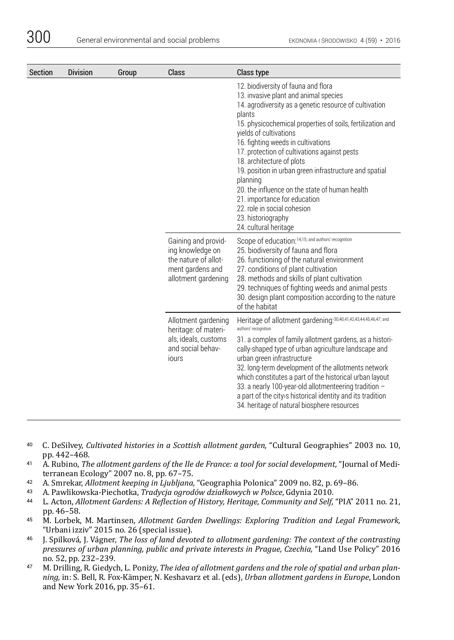| Section | <b>Division</b>                                                                                   | Group                                                                                                                                                                                                                                                                                                                                                                                                                                                                                                                              | Class                                                                                                      | Class type                                                                                                                                                                                                                                                                                                                                                                                                                                                                                                                                                                                        |
|---------|---------------------------------------------------------------------------------------------------|------------------------------------------------------------------------------------------------------------------------------------------------------------------------------------------------------------------------------------------------------------------------------------------------------------------------------------------------------------------------------------------------------------------------------------------------------------------------------------------------------------------------------------|------------------------------------------------------------------------------------------------------------|---------------------------------------------------------------------------------------------------------------------------------------------------------------------------------------------------------------------------------------------------------------------------------------------------------------------------------------------------------------------------------------------------------------------------------------------------------------------------------------------------------------------------------------------------------------------------------------------------|
|         |                                                                                                   |                                                                                                                                                                                                                                                                                                                                                                                                                                                                                                                                    |                                                                                                            | 12. biodiversity of fauna and flora<br>13. invasive plant and animal species<br>14. agrodiversity as a genetic resource of cultivation<br>plants<br>15. physicochemical properties of soils, fertilization and<br>yields of cultivations<br>16. fighting weeds in cultivations<br>17. protection of cultivations against pests<br>18. architecture of plots<br>19. position in urban green infrastructure and spatial<br>planning<br>20, the influence on the state of human health<br>21. importance for education<br>22. role in social cohesion<br>23. historiography<br>24. cultural heritage |
|         |                                                                                                   |                                                                                                                                                                                                                                                                                                                                                                                                                                                                                                                                    | Gaining and provid-<br>ing knowledge on<br>the nature of allot-<br>ment gardens and<br>allotment gardening | Scope of education: 14,15; and authors' recognition<br>25. biodiversity of fauna and flora<br>26. functioning of the natural environment<br>27. conditions of plant cultivation<br>28. methods and skills of plant cultivation<br>29. techniques of fighting weeds and animal pests<br>30. design plant composition according to the nature<br>of the habitat                                                                                                                                                                                                                                     |
|         | Allotment gardening<br>heritage: of materi-<br>als, ideals, customs<br>and social behav-<br>jours | Heritage of allotment gardening: 30,40,41,42,43,44,45,46,47; and<br>authors' recognition<br>31. a complex of family allotment gardens, as a histori-<br>cally-shaped type of urban agriculture landscape and<br>urban green infrastructure<br>32. long-term development of the allotments network<br>which constitutes a part of the historical urban layout<br>33. a nearly 100-year-old allotmenteering tradition -<br>a part of the city s historical identity and its tradition<br>34. heritage of natural biosphere resources |                                                                                                            |                                                                                                                                                                                                                                                                                                                                                                                                                                                                                                                                                                                                   |

- <sup>40</sup> C. DeSilvey, *Cultivated histories in a Scottish allotment garden,* "Cultural Geographies" 2003 no. 10,
- <sup>41</sup> A. Rubino, *The allotment gardens of the Ile de France: a tool for social development, "Journal of Mediterranean Ecology" 2007 no. 8, pp. 67–75.*
- 
- 
- 42 A. Smrekar, Allotment keeping in Ljubljana, "Geographia Polonica" 2009 no. 82, p. 69–86.<br>43 A. Pawlikowska-Piechotka, Tradycja ogrodów działkowych w Polsce, Gdynia 2010.<br>44 L. Acton, Allotment Gardens: A Reflection of H
- <sup>45</sup> M. Lorbek, M. Martinsen, *Allotment Garden Dwellings: Exploring Tradition and Legal Framework,* "Urbani izziv" 2015 no. 26 (special issue).
- <sup>46</sup> J. Spilková, J. Vágner, *The loss of land devoted to allotment gardening: The context of the contrasting pressures of urban planning, public and private interests in Prague, Czechia,* "Land Use Policy" 2016
- <sup>47</sup> M. Drilling, R. Giedych, L. Poniży, *The idea of allotment gardens and the role of spatial and urban planning,* in: S. Bell, R. Fox-Kämper, N. Keshavarz et al. (eds), *Urban allotment gardens in Europe*, London and New York 2016, pp. 35–61.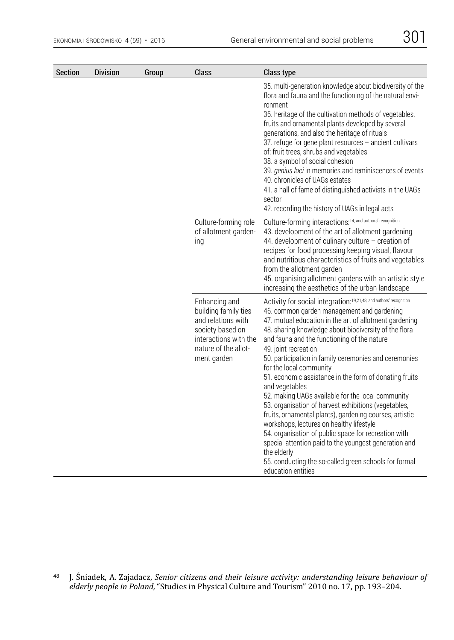| Section | <b>Division</b> | Group | Class                                                                                                                                           | Class type                                                                                                                                                                                                                                                                                                                                                                                                                                                                                                                                                                                                                                                                                                                                                                                                                                                                                                     |
|---------|-----------------|-------|-------------------------------------------------------------------------------------------------------------------------------------------------|----------------------------------------------------------------------------------------------------------------------------------------------------------------------------------------------------------------------------------------------------------------------------------------------------------------------------------------------------------------------------------------------------------------------------------------------------------------------------------------------------------------------------------------------------------------------------------------------------------------------------------------------------------------------------------------------------------------------------------------------------------------------------------------------------------------------------------------------------------------------------------------------------------------|
|         |                 |       |                                                                                                                                                 | 35. multi-generation knowledge about biodiversity of the<br>flora and fauna and the functioning of the natural envi-<br>ronment<br>36. heritage of the cultivation methods of vegetables,<br>fruits and ornamental plants developed by several<br>generations, and also the heritage of rituals<br>37. refuge for gene plant resources - ancient cultivars<br>of: fruit trees, shrubs and vegetables<br>38. a symbol of social cohesion<br>39. genius loci in memories and reminiscences of events<br>40. chronicles of UAGs estates<br>41. a hall of fame of distinguished activists in the UAGs<br>sector<br>42. recording the history of UAGs in legal acts                                                                                                                                                                                                                                                 |
|         |                 |       | Culture-forming role<br>of allotment garden-<br>ing                                                                                             | Culture-forming interactions: 14, and authors' recognition<br>43. development of the art of allotment gardening<br>44. development of culinary culture - creation of<br>recipes for food processing keeping visual, flavour<br>and nutritious characteristics of fruits and vegetables<br>from the allotment garden<br>45. organising allotment gardens with an artistic style<br>increasing the aesthetics of the urban landscape                                                                                                                                                                                                                                                                                                                                                                                                                                                                             |
|         |                 |       | Enhancing and<br>building family ties<br>and relations with<br>society based on<br>interactions with the<br>nature of the allot-<br>ment garden | Activity for social integration: 19,21,48; and authors' recognition<br>46. common garden management and gardening<br>47. mutual education in the art of allotment gardening<br>48. sharing knowledge about biodiversity of the flora<br>and fauna and the functioning of the nature<br>49. joint recreation<br>50. participation in family ceremonies and ceremonies<br>for the local community<br>51. economic assistance in the form of donating fruits<br>and vegetables<br>52. making UAGs available for the local community<br>53. organisation of harvest exhibitions (vegetables,<br>fruits, ornamental plants), gardening courses, artistic<br>workshops, lectures on healthy lifestyle<br>54. organisation of public space for recreation with<br>special attention paid to the youngest generation and<br>the elderly<br>55. conducting the so-called green schools for formal<br>education entities |

<sup>48</sup> J. Śniadek, A. Zajadacz, *Senior citizens and their leisure activity: understanding leisure behaviour of elderly people in Poland,* "Studies in Physical Culture and Tourism" 2010 no. 17, pp. 193–204.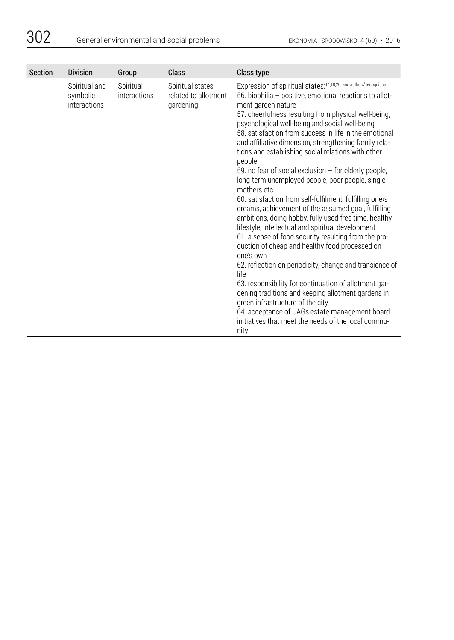| <b>Section</b> | <b>Division</b>                           | Group                     | Class                                                 | Class type                                                                                                                                                                                                                                                                                                                                                                                                                                                                                                                                                                                                                                                                                                                                                                                                                                                                                                                                                                                                                                                                                                                                                                                                                                                                      |
|----------------|-------------------------------------------|---------------------------|-------------------------------------------------------|---------------------------------------------------------------------------------------------------------------------------------------------------------------------------------------------------------------------------------------------------------------------------------------------------------------------------------------------------------------------------------------------------------------------------------------------------------------------------------------------------------------------------------------------------------------------------------------------------------------------------------------------------------------------------------------------------------------------------------------------------------------------------------------------------------------------------------------------------------------------------------------------------------------------------------------------------------------------------------------------------------------------------------------------------------------------------------------------------------------------------------------------------------------------------------------------------------------------------------------------------------------------------------|
|                | Spiritual and<br>symbolic<br>interactions | Spiritual<br>interactions | Spiritual states<br>related to allotment<br>gardening | Expression of spiritual states: 14, 18, 20; and authors' recognition<br>56. biophilia - positive, emotional reactions to allot-<br>ment garden nature<br>57. cheerfulness resulting from physical well-being,<br>psychological well-being and social well-being<br>58, satisfaction from success in life in the emotional<br>and affiliative dimension, strengthening family rela-<br>tions and establishing social relations with other<br>people<br>59. no fear of social exclusion $-$ for elderly people,<br>long-term unemployed people, poor people, single<br>mothers etc.<br>60. satisfaction from self-fulfilment: fulfilling one>s<br>dreams, achievement of the assumed goal, fulfilling<br>ambitions, doing hobby, fully used free time, healthy<br>lifestyle, intellectual and spiritual development<br>61. a sense of food security resulting from the pro-<br>duction of cheap and healthy food processed on<br>one's own<br>62. reflection on periodicity, change and transience of<br>life<br>63. responsibility for continuation of allotment gar-<br>dening traditions and keeping allotment gardens in<br>green infrastructure of the city<br>64. acceptance of UAGs estate management board<br>initiatives that meet the needs of the local commu-<br>nity |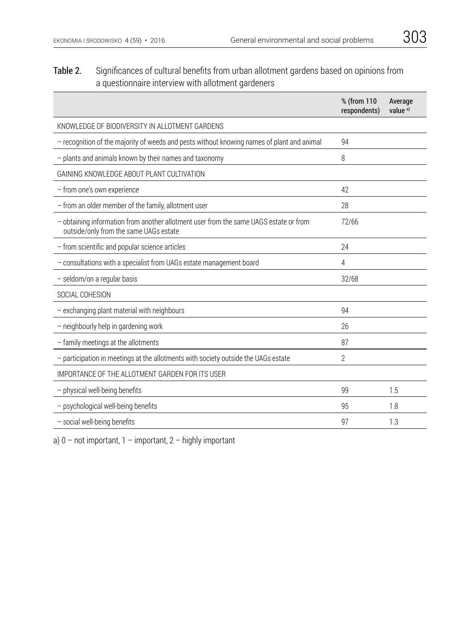# Table 2. Significances of cultural benefits from urban allotment gardens based on opinions from a questionnaire interview with allotment gardeners

|                                                                                                                                 | % (from 110<br>respondents) | Average<br>value <sup>a)</sup> |
|---------------------------------------------------------------------------------------------------------------------------------|-----------------------------|--------------------------------|
| KNOWLEDGE OF BIODIVERSITY IN ALLOTMENT GARDENS                                                                                  |                             |                                |
| - recognition of the majority of weeds and pests without knowing names of plant and animal                                      | 94                          |                                |
| - plants and animals known by their names and taxonomy                                                                          | 8                           |                                |
| GAINING KNOWLEDGE ABOUT PLANT CULTIVATION                                                                                       |                             |                                |
| - from one's own experience                                                                                                     | 42                          |                                |
| - from an older member of the family, allotment user                                                                            | 28                          |                                |
| - obtaining information from another allotment user from the same UAGS estate or from<br>outside/only from the same UAGs estate | 72/66                       |                                |
| - from scientific and popular science articles                                                                                  | 24                          |                                |
| - consultations with a specialist from UAGs estate management board                                                             | 4                           |                                |
| - seldom/on a regular basis                                                                                                     | 32/68                       |                                |
| SOCIAL COHESION                                                                                                                 |                             |                                |
| - exchanging plant material with neighbours                                                                                     | 94                          |                                |
| - neighbourly help in gardening work                                                                                            | 26                          |                                |
| - family meetings at the allotments                                                                                             | 87                          |                                |
| - participation in meetings at the allotments with society outside the UAGs estate                                              | $\overline{2}$              |                                |
| IMPORTANCE OF THE ALLOTMENT GARDEN FOR ITS USER                                                                                 |                             |                                |
| - physical well-being benefits                                                                                                  | 99                          | 1.5                            |
| psychological well-being benefits                                                                                               | 95                          | 1.8                            |
| - social well-being benefits                                                                                                    | 97                          | 1.3                            |

a)  $0$  – not important,  $1$  – important,  $2$  – highly important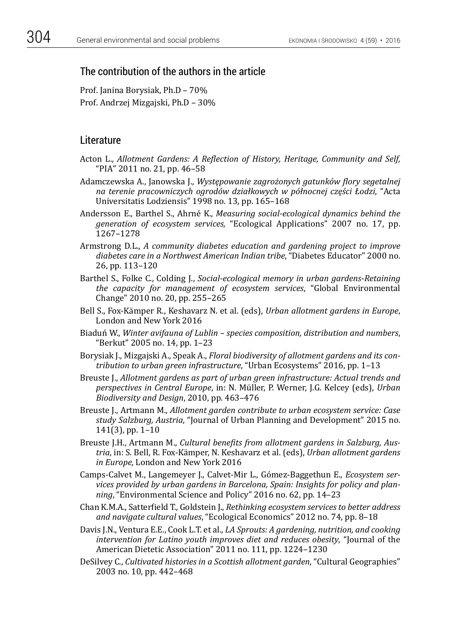# The contribution of the authors in the article

Prof. Janina Borysiak, Ph.D – 70% Prof. Andrzej Mizgajski, Ph.D – 30%

# **Literature**

- Acton L., *Allotment Gardens: A Reflection of History, Heritage, Community and Self,*  "PIA" 2011 no. 21, pp. 46–58
- Adamczewska A., Janowska J., *Występowanie zagrożonych gatunków flory segetalnej na terenie pracowniczych ogrodów działkowych w północnej części Łodzi*, "Acta Universitatis Lodziensis" 1998 no. 13, pp. 165–168
- Andersson E., Barthel S., Ahrné K., *Measuring social-ecological dynamics behind the generation of ecosystem services,* "Ecological Applications" 2007 no. 17, pp. 1267–1278
- Armstrong D.L., *A community diabetes education and gardening project to improve diabetes care in a Northwest American Indian tribe*, "Diabetes Educator" 2000 no. 26, pp. 113–120
- Barthel S., Folke C., Colding J., *Social-ecological memory in urban gardens*-*Retaining the capacity for management of ecosystem services*, "Global Environmental Change" 2010 no. 20, pp. 255–265
- Bell S., Fox-Kämper R., Keshavarz N. et al. (eds), *Urban allotment gardens in Europe*, London and New York 2016
- Biaduń W., *Winter avifauna of Lublin species composition, distribution and numbers*, "Berkut" 2005 no. 14, pp. 1–23
- Borysiak J., Mizgajski A., Speak A., *Floral biodiversity of allotment gardens and its contribution to urban green infrastructure*, "Urban Ecosystems" 2016, pp. 1–13
- Breuste J., *Allotment gardens as part of urban green infrastructure: Actual trends and perspectives in Central Europe*, in: N. Müller, P. Werner, J.G. Kelcey (eds), *Urban Biodiversity and Design*, 2010, pp. 463–476
- Breuste J., Artmann M., *Allotment garden contribute to urban ecosystem service: Case study Salzburg, Austria*, "Journal of Urban Planning and Development" 2015 no. 141(3), pp. 1–10
- Breuste J.H., Artmann M., *Cultural benefits from allotment gardens in Salzburg, Austria*, in: S. Bell, R. Fox-Kämper, N. Keshavarz et al. (eds), *Urban allotment gardens in Europe*, London and New York 2016
- Camps-Calvet M., Langemeyer J., Calvet-Mir L., Gómez-Baggethun E., *Ecosystem services provided by urban gardens in Barcelona, Spain: Insights for policy and planning*, "Environmental Science and Policy" 2016 no. 62, pp. 14–23
- Chan K.M.A., Satterfield T., Goldstein J., *Rethinking ecosystem services to better address and navigate cultural values*, "Ecological Economics" 2012 no. 74, pp. 8–18
- Davis J.N., Ventura E.E., Cook L.T. et al., *LA Sprouts: A gardening, nutrition, and cooking intervention for Latino youth improves diet and reduces obesity*, "Journal of the American Dietetic Association" 2011 no. 111, pp. 1224–1230
- DeSilvey C., *Cultivated histories in a Scottish allotment garden*, "Cultural Geographies" 2003 no. 10, pp. 442–468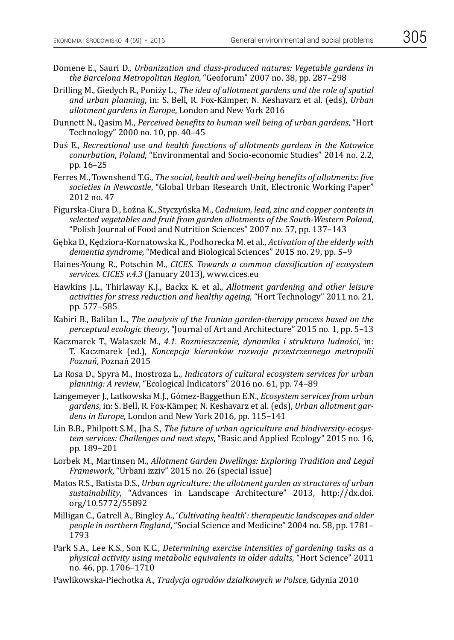- Domene E., Sauri D., *Urbanization and class-produced natures: Vegetable gardens in the Barcelona Metropolitan Region,* "Geoforum" 2007 no. 38, pp. 287–298
- Drilling M., Giedych R., Poniży L., *The idea of allotment gardens and the role of spatial and urban planning*, in: S. Bell, R. Fox-Kämper, N. Keshavarz et al. (eds), *Urban allotment gardens in Europe*, London and New York 2016
- Dunnett N., Qasim M., *Perceived benefits to human well being of urban gardens*, "Hort Technology" 2000 no. 10, pp. 40–45
- Duś E., *Recreational use and health functions of allotments gardens in the Katowice conurbation*, *Poland*, "Environmental and Socio-economic Studies" 2014 no. 2.2, pp. 16–25
- Ferres M., Townshend T.G., *The social, health and well-being benefits of allotments: five societies in Newcastle*, "Global Urban Research Unit, Electronic Working Paper" 2012 no. 47
- Figurska-Ciura D., Łoźna K., Styczyńska M., *Cadmium, lead, zinc and copper contents in selected vegetables and fruit from garden allotments of the South-Western Poland*, "Polish Journal of Food and Nutrition Sciences" 2007 no. 57, pp. 137–143
- Gębka D., Kędziora-Kornatowska K., Podhorecka M. et al., *Activation of the elderly with dementia syndrome,* "Medical and Biological Sciences" 2015 no. 29, pp. 5–9
- Haines-Young R., Potschin M., *CICES. Towards a common classification of ecosystem services. CICES v.4.3* (January 2013), www.cices.eu
- Hawkins J.L., Thirlaway K.J., Backx K. et al., *Allotment gardening and other leisure activities for stress reduction and healthy ageing*, "Hort Technology" 2011 no. 21, pp. 577–585
- Kabiri B., Balilan L., *The analysis of the Iranian garden-therapy process based on the perceptual ecologic theory*, "Journal of Art and Architecture" 2015 no. 1, pp. 5–13
- Kaczmarek T., Walaszek M., *4.1. Rozmieszczenie, dynamika i struktura ludności*, in: T. Kaczmarek (ed.), *Koncepcja kierunków rozwoju przestrzennego metropolii Poznań*, Poznań 2015
- La Rosa D., Spyra M., Inostroza L., *Indicators of cultural ecosystem services for urban planning: A review*, "Ecological Indicators" 2016 no. 61, pp. 74–89
- Langemeyer J., Latkowska M.J., Gómez-Baggethun E.N., *Ecosystem services from urban gardens*, in: S. Bell, R. Fox-Kämper, N. Keshavarz et al. (eds), *Urban allotment gardens in Europe*, London and New York 2016, pp. 115–141
- Lin B.B., Philpott S.M., Jha S., *The future of urban agriculture and biodiversity-ecosystem services: Challenges and next steps*, "Basic and Applied Ecology" 2015 no. 16, pp. 189–201
- Lorbek M., Martinsen M., *Allotment Garden Dwellings: Exploring Tradition and Legal Framework*, "Urbani izziv" 2015 no. 26 (special issue)
- Matos R.S., Batista D.S., *Urban agriculture: the allotment garden as structures of urban sustainability*, "Advances in Landscape Architecture" 2013, http://dx.doi. org/10.5772/55892
- Milligan C., Gatrell A., Bingley A., '*Cultivating health*'*: therapeutic landscapes and older people in northern England*, "Social Science and Medicine" 2004 no. 58, pp. 1781– 1793
- Park S.A., Lee K.S., Son K.C., *Determining exercise intensities of gardening tasks as a physical activity using metabolic equivalents in older adults*, "Hort Science" 2011 no. 46, pp. 1706–1710
- Pawlikowska-Piechotka A., *Tradycja ogrodów działkowych w Polsce*, Gdynia 2010